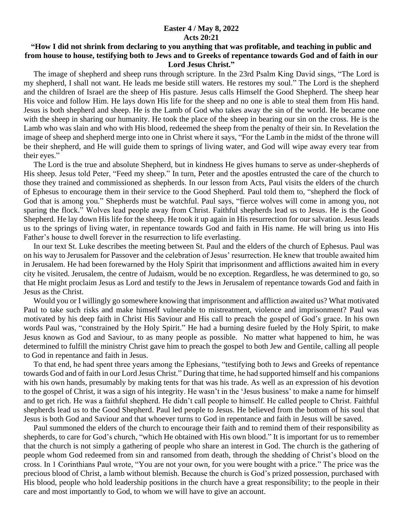## **Easter 4 / May 8, 2022 Acts 20:21**

## **"How I did not shrink from declaring to you anything that was profitable, and teaching in public and from house to house, testifying both to Jews and to Greeks of repentance towards God and of faith in our Lord Jesus Christ."**

 The image of shepherd and sheep runs through scripture. In the 23rd Psalm King David sings, "The Lord is my shepherd, I shall not want. He leads me beside still waters. He restores my soul." The Lord is the shepherd and the children of Israel are the sheep of His pasture. Jesus calls Himself the Good Shepherd. The sheep hear His voice and follow Him. He lays down His life for the sheep and no one is able to steal them from His hand. Jesus is both shepherd and sheep. He is the Lamb of God who takes away the sin of the world. He became one with the sheep in sharing our humanity. He took the place of the sheep in bearing our sin on the cross. He is the Lamb who was slain and who with His blood, redeemed the sheep from the penalty of their sin. In Revelation the image of sheep and shepherd merge into one in Christ where it says, "For the Lamb in the midst of the throne will be their shepherd, and He will guide them to springs of living water, and God will wipe away every tear from their eyes."

 The Lord is the true and absolute Shepherd, but in kindness He gives humans to serve as under-shepherds of His sheep. Jesus told Peter, "Feed my sheep." In turn, Peter and the apostles entrusted the care of the church to those they trained and commissioned as shepherds. In our lesson from Acts, Paul visits the elders of the church of Ephesus to encourage them in their service to the Good Shepherd. Paul told them to, "shepherd the flock of God that is among you." Shepherds must be watchful. Paul says, "fierce wolves will come in among you, not sparing the flock." Wolves lead people away from Christ. Faithful shepherds lead us to Jesus. He is the Good Shepherd. He lay down His life for the sheep. He took it up again in His resurrection for our salvation. Jesus leads us to the springs of living water, in repentance towards God and faith in His name. He will bring us into His Father's house to dwell forever in the resurrection to life everlasting.

 In our text St. Luke describes the meeting between St. Paul and the elders of the church of Ephesus. Paul was on his way to Jerusalem for Passover and the celebration of Jesus' resurrection. He knew that trouble awaited him in Jerusalem. He had been forewarned by the Holy Spirit that imprisonment and afflictions awaited him in every city he visited. Jerusalem, the centre of Judaism, would be no exception. Regardless, he was determined to go, so that He might proclaim Jesus as Lord and testify to the Jews in Jerusalem of repentance towards God and faith in Jesus as the Christ.

 Would you or I willingly go somewhere knowing that imprisonment and affliction awaited us? What motivated Paul to take such risks and make himself vulnerable to mistreatment, violence and imprisonment? Paul was motivated by his deep faith in Christ His Saviour and His call to preach the gospel of God's grace. In his own words Paul was, "constrained by the Holy Spirit." He had a burning desire fueled by the Holy Spirit, to make Jesus known as God and Saviour, to as many people as possible. No matter what happened to him, he was determined to fulfill the ministry Christ gave him to preach the gospel to both Jew and Gentile, calling all people to God in repentance and faith in Jesus.

 To that end, he had spent three years among the Ephesians, "testifying both to Jews and Greeks of repentance towards God and of faith in our Lord Jesus Christ." During that time, he had supported himself and his companions with his own hands, presumably by making tents for that was his trade. As well as an expression of his devotion to the gospel of Christ, it was a sign of his integrity. He wasn't in the 'Jesus business' to make a name for himself and to get rich. He was a faithful shepherd. He didn't call people to himself. He called people to Christ. Faithful shepherds lead us to the Good Shepherd. Paul led people to Jesus. He believed from the bottom of his soul that Jesus is both God and Saviour and that whoever turns to God in repentance and faith in Jesus will be saved.

 Paul summoned the elders of the church to encourage their faith and to remind them of their responsibility as shepherds, to care for God's church, "which He obtained with His own blood." It is important for us to remember that the church is not simply a gathering of people who share an interest in God. The church is the gathering of people whom God redeemed from sin and ransomed from death, through the shedding of Christ's blood on the cross. In 1 Corinthians Paul wrote, "You are not your own, for you were bought with a price." The price was the precious blood of Christ, a lamb without blemish. Because the church is God's prized possession, purchased with His blood, people who hold leadership positions in the church have a great responsibility; to the people in their care and most importantly to God, to whom we will have to give an account.